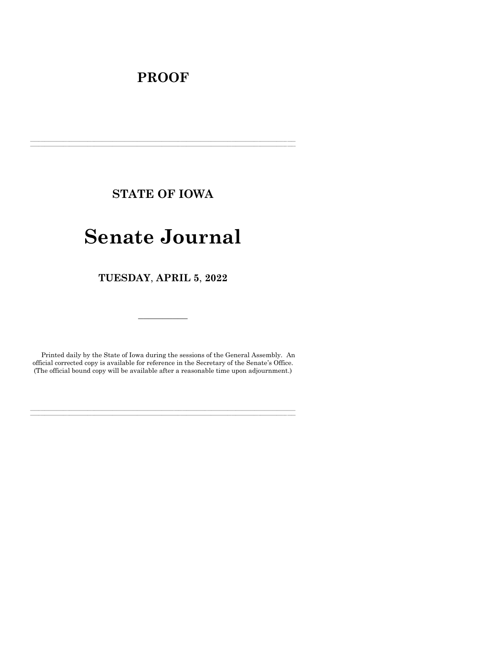# **PROOF**

**STATE OF IOWA**

**\_\_\_\_\_\_\_\_\_\_\_\_\_\_\_\_\_\_\_\_\_\_\_\_\_\_\_\_\_\_\_\_\_\_\_\_\_\_\_\_\_\_\_\_\_\_\_\_\_\_\_\_\_\_\_\_\_\_\_\_\_\_\_\_\_\_\_\_\_\_\_\_\_\_\_\_\_\_\_\_\_\_\_\_\_\_\_\_\_\_\_\_\_\_\_\_\_\_\_\_\_\_\_\_\_\_\_\_\_\_\_\_\_\_\_\_\_\_\_\_\_\_\_\_\_\_\_\_\_ \_\_\_\_\_\_\_\_\_\_\_\_\_\_\_\_\_\_\_\_\_\_\_\_\_\_\_\_\_\_\_\_\_\_\_\_\_\_\_\_\_\_\_\_\_\_\_\_\_\_\_\_\_\_\_\_\_\_\_\_\_\_\_\_\_\_\_\_\_\_\_\_\_\_\_\_\_\_\_\_\_\_\_\_\_\_\_\_\_\_\_\_\_\_\_\_\_\_\_\_\_\_\_\_\_\_\_\_\_\_\_\_\_\_\_\_\_\_\_\_\_\_\_\_\_\_\_\_\_**

# **Senate Journal**

**TUESDAY**, **APRIL 5**, **2022**

Printed daily by the State of Iowa during the sessions of the General Assembly. An official corrected copy is available for reference in the Secretary of the Senate's Office. (The official bound copy will be available after a reasonable time upon adjournment.)

**\_\_\_\_\_\_\_\_\_\_\_\_\_\_\_\_\_\_\_\_\_\_\_\_\_\_\_\_\_\_\_\_\_\_\_\_\_\_\_\_\_\_\_\_\_\_\_\_\_\_\_\_\_\_\_\_\_\_\_\_\_\_\_\_\_\_\_\_\_\_\_\_\_\_\_\_\_\_\_\_\_\_\_\_\_\_\_\_\_\_\_\_\_\_\_\_\_\_\_\_\_\_\_\_\_\_\_\_\_\_\_\_\_\_\_\_\_\_\_\_\_\_\_\_\_\_\_\_\_ \_\_\_\_\_\_\_\_\_\_\_\_\_\_\_\_\_\_\_\_\_\_\_\_\_\_\_\_\_\_\_\_\_\_\_\_\_\_\_\_\_\_\_\_\_\_\_\_\_\_\_\_\_\_\_\_\_\_\_\_\_\_\_\_\_\_\_\_\_\_\_\_\_\_\_\_\_\_\_\_\_\_\_\_\_\_\_\_\_\_\_\_\_\_\_\_\_\_\_\_\_\_\_\_\_\_\_\_\_\_\_\_\_\_\_\_\_\_\_\_\_\_\_\_\_\_\_\_\_**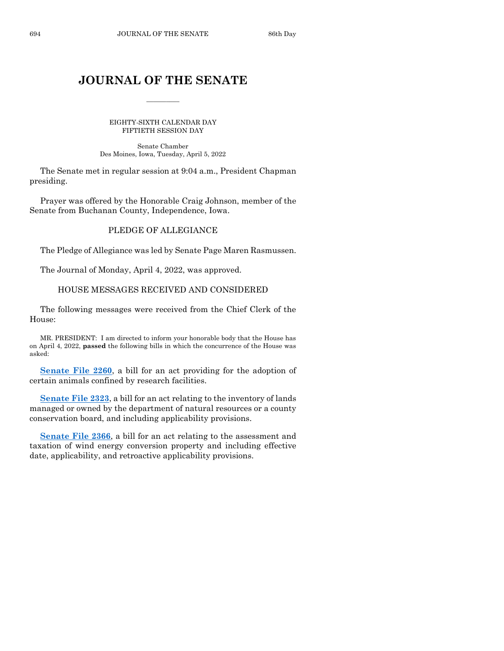# **JOURNAL OF THE SENATE**

 $\overline{\phantom{a}}$ 

EIGHTY-SIXTH CALENDAR DAY FIFTIETH SESSION DAY

Senate Chamber Des Moines, Iowa, Tuesday, April 5, 2022

The Senate met in regular session at 9:04 a.m., President Chapman presiding.

Prayer was offered by the Honorable Craig Johnson, member of the Senate from Buchanan County, Independence, Iowa.

#### PLEDGE OF ALLEGIANCE

The Pledge of Allegiance was led by Senate Page Maren Rasmussen.

The Journal of Monday, April 4, 2022, was approved.

#### HOUSE MESSAGES RECEIVED AND CONSIDERED

The following messages were received from the Chief Clerk of the House:

MR. PRESIDENT: I am directed to inform your honorable body that the House has on April 4, 2022, **passed** the following bills in which the concurrence of the House was asked:

**[Senate File 2260](https://www.legis.iowa.gov/legislation/BillBook?ga=89&ba=SF2260)**, a bill for an act providing for the adoption of certain animals confined by research facilities.

**[Senate File 2323](https://www.legis.iowa.gov/legislation/BillBook?ga=89&ba=SF2323)**, a bill for an act relating to the inventory of lands managed or owned by the department of natural resources or a county conservation board, and including applicability provisions.

**[Senate File 2366](https://www.legis.iowa.gov/legislation/BillBook?ga=89&ba=SF2366)**, a bill for an act relating to the assessment and taxation of wind energy conversion property and including effective date, applicability, and retroactive applicability provisions.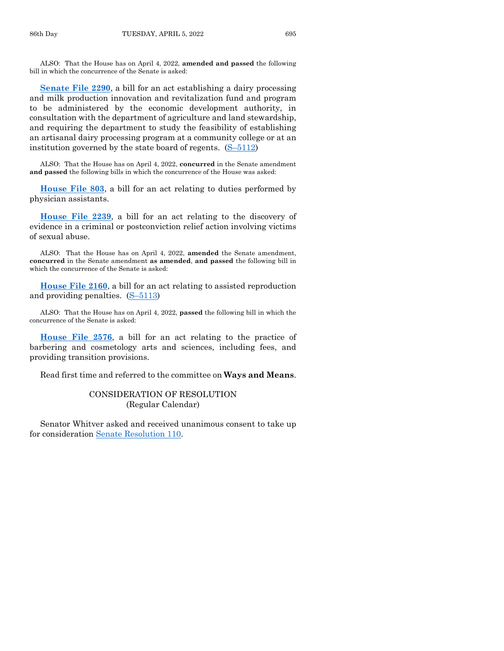ALSO: That the House has on April 4, 2022, **amended and passed** the following bill in which the concurrence of the Senate is asked:

**[Senate File 2290](https://www.legis.iowa.gov/legislation/BillBook?ga=89&ba=SF2290)**, a bill for an act establishing a dairy processing and milk production innovation and revitalization fund and program to be administered by the economic development authority, in consultation with the department of agriculture and land stewardship, and requiring the department to study the feasibility of establishing an artisanal dairy processing program at a community college or at an institution governed by the state board of regents. (S–[5112\)](https://www.legis.iowa.gov/legislation/BillBook?ga=89&ba=S5112)

ALSO: That the House has on April 4, 2022, **concurred** in the Senate amendment **and passed** the following bills in which the concurrence of the House was asked:

**[House File 803](https://www.legis.iowa.gov/legislation/BillBook?ga=89&ba=HF803)**, a bill for an act relating to duties performed by physician assistants.

**[House File 2239](https://www.legis.iowa.gov/legislation/BillBook?ga=89&ba=HF2239)**, a bill for an act relating to the discovery of evidence in a criminal or postconviction relief action involving victims of sexual abuse.

ALSO: That the House has on April 4, 2022, **amended** the Senate amendment, **concurred** in the Senate amendment **as amended**, **and passed** the following bill in which the concurrence of the Senate is asked:

**[House File 2160](https://www.legis.iowa.gov/legislation/BillBook?ga=89&ba=HF2160)**, a bill for an act relating to assisted reproduction and providing penalties. (S–[5113\)](https://www.legis.iowa.gov/legislation/BillBook?ga=89&ba=S5113)

ALSO: That the House has on April 4, 2022, **passed** the following bill in which the concurrence of the Senate is asked:

**[House File 2576](https://www.legis.iowa.gov/legislation/BillBook?ga=89&ba=HF2576)**, a bill for an act relating to the practice of barbering and cosmetology arts and sciences, including fees, and providing transition provisions.

Read first time and referred to the committee on **Ways and Means**.

#### CONSIDERATION OF RESOLUTION (Regular Calendar)

Senator Whitver asked and received unanimous consent to take up for consideration [Senate Resolution 110.](https://www.legis.iowa.gov/legislation/BillBook?ga=89&ba=SR110)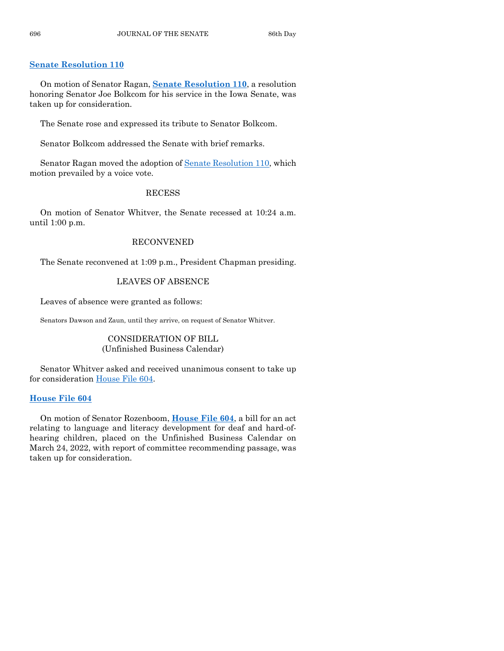#### **[Senate Resolution 110](https://www.legis.iowa.gov/legislation/BillBook?ga=89&ba=SR110)**

On motion of Senator Ragan, **Senate [Resolution 110](https://www.legis.iowa.gov/legislation/BillBook?ga=89&ba=SR110)**, a resolution honoring Senator Joe Bolkcom for his service in the Iowa Senate, was taken up for consideration.

The Senate rose and expressed its tribute to Senator Bolkcom.

Senator Bolkcom addressed the Senate with brief remarks.

Senator Ragan moved the adoption of [Senate Resolution 110,](https://www.legis.iowa.gov/legislation/BillBook?ga=89&ba=SR110) which motion prevailed by a voice vote.

#### RECESS

On motion of Senator Whitver, the Senate recessed at 10:24 a.m. until 1:00 p.m.

#### RECONVENED

The Senate reconvened at 1:09 p.m., President Chapman presiding.

#### LEAVES OF ABSENCE

Leaves of absence were granted as follows:

Senators Dawson and Zaun, until they arrive, on request of Senator Whitver.

## CONSIDERATION OF BILL (Unfinished Business Calendar)

Senator Whitver asked and received unanimous consent to take up for consideration [House File 604.](https://www.legis.iowa.gov/legislation/BillBook?ga=89&ba=HF604)

#### **[House File 604](https://www.legis.iowa.gov/legislation/BillBook?ga=89&ba=HF604)**

On motion of Senator Rozenboom, **[House File 604](https://www.legis.iowa.gov/legislation/BillBook?ga=89&ba=HF604)**, a bill for an act relating to language and literacy development for deaf and hard-ofhearing children, placed on the Unfinished Business Calendar on March 24, 2022, with report of committee recommending passage, was taken up for consideration.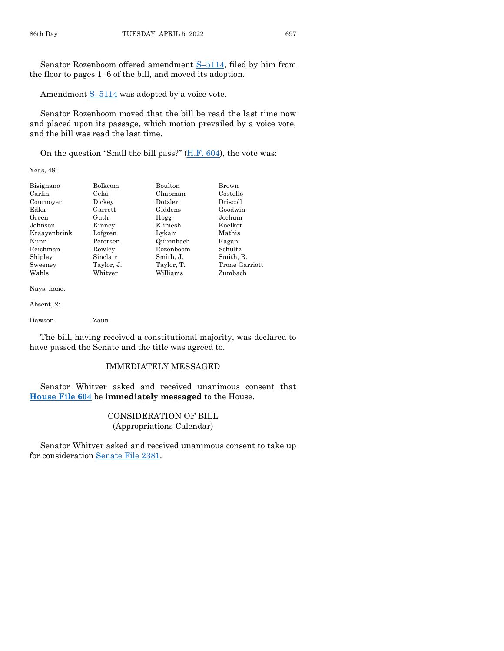Senator Rozenboom offered amendment S–[5114,](https://www.legis.iowa.gov/legislation/BillBook?ga=89&ba=S5114) filed by him from the floor to pages 1–6 of the bill, and moved its adoption.

Amendment S–[5114](https://www.legis.iowa.gov/legislation/BillBook?ga=89&ba=S5114) was adopted by a voice vote.

Senator Rozenboom moved that the bill be read the last time now and placed upon its passage, which motion prevailed by a voice vote, and the bill was read the last time.

On the question "Shall the bill pass?" [\(H.F. 604\)](https://www.legis.iowa.gov/legislation/BillBook?ga=89&ba=HF604), the vote was:

Yeas, 48:

| Bisignano    | Bolkcom    | Boulton    | Brown          |
|--------------|------------|------------|----------------|
| Carlin       | Celsi      | Chapman    | Costello       |
| Cournover    | Dickey     | Dotzler    | Driscoll       |
| Edler        | Garrett    | Giddens    | Goodwin        |
| Green        | Guth       | Hogg       | Jochum         |
| Johnson      | Kinney     | Klimesh    | Koelker        |
| Kraayenbrink | Lofgren    | Lykam      | Mathis         |
| Nunn         | Petersen   | Quirmbach  | Ragan          |
| Reichman     | Rowley     | Rozenboom  | Schultz        |
| Shipley      | Sinclair   | Smith, J.  | Smith, R.      |
| Sweeney      | Taylor, J. | Taylor, T. | Trone Garriott |
| Wahls        | Whitver    | Williams   | Zumbach        |

Nays, none.

Absent, 2:

Dawson Zaun

The bill, having received a constitutional majority, was declared to have passed the Senate and the title was agreed to.

#### IMMEDIATELY MESSAGED

Senator Whitver asked and received unanimous consent that **[House File 604](https://www.legis.iowa.gov/legislation/BillBook?ga=89&ba=HF604)** be **immediately messaged** to the House.

#### CONSIDERATION OF BILL (Appropriations Calendar)

Senator Whitver asked and received unanimous consent to take up for consideration [Senate File 2381.](https://www.legis.iowa.gov/legislation/BillBook?ga=89&ba=SF2381)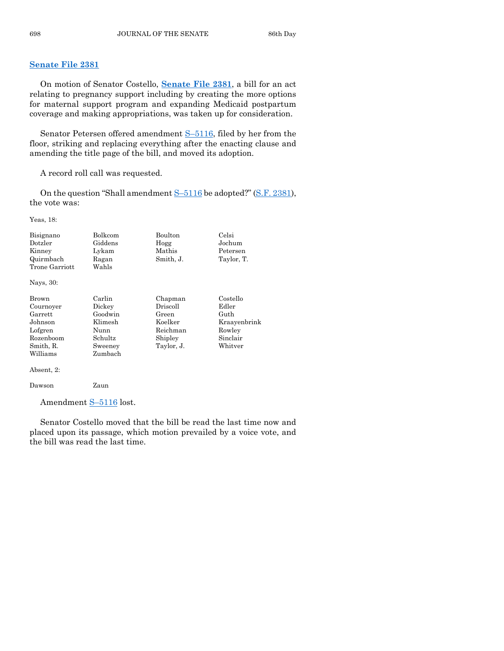#### **[Senate File 2381](https://www.legis.iowa.gov/legislation/BillBook?ga=89&ba=SF2381)**

On motion of Senator Costello, **[Senate File 2381](https://www.legis.iowa.gov/legislation/BillBook?ga=89&ba=SF2381)**, a bill for an act relating to pregnancy support including by creating the more options for maternal support program and expanding Medicaid postpartum coverage and making appropriations, was taken up for consideration.

Senator Petersen offered amendment S–[5116,](https://www.legis.iowa.gov/legislation/BillBook?ga=89&ba=S5116) filed by her from the floor, striking and replacing everything after the enacting clause and amending the title page of the bill, and moved its adoption.

A record roll call was requested.

On the question "Shall amendment  $S-5116$  $S-5116$  be adopted?" [\(S.F. 2381\)](https://www.legis.iowa.gov/legislation/BillBook?ga=89&ba=SF2381), the vote was:

Yeas, 18:

| Bisignano<br>Dotzler<br>Kinney<br>Quirmbach<br>Trone Garriott | Bolkcom<br>Giddens<br>Lykam<br>Ragan<br>Wahls | Boulton<br>Hogg<br>Mathis<br>Smith, J. | Celsi<br>Jochum<br>Petersen<br>Taylor, T. |
|---------------------------------------------------------------|-----------------------------------------------|----------------------------------------|-------------------------------------------|
| Nays, 30:                                                     |                                               |                                        |                                           |
| Brown                                                         | Carlin                                        | Chapman                                | Costello                                  |
| Cournoyer                                                     | Dickey                                        | $\operatorname{Driscoll}$              | Edler                                     |
| Garrett                                                       | Goodwin                                       | Green                                  | Guth                                      |
| Johnson                                                       | Klimesh                                       | Koelker                                | Kraayenbrink                              |
| Lofgren                                                       | Nunn                                          | Reichman                               | Rowley                                    |
| Rozenboom                                                     | Schultz                                       | Shipley                                | Sinclair                                  |
| Smith, R.                                                     | Sweeney                                       | Taylor, J.                             | Whitver                                   |
| Williams                                                      | Zumbach                                       |                                        |                                           |
| Absent, 2:                                                    |                                               |                                        |                                           |
| Dawson                                                        | Zaun                                          |                                        |                                           |

Amendment S–[5116](https://www.legis.iowa.gov/legislation/BillBook?ga=89&ba=S5116) lost.

Senator Costello moved that the bill be read the last time now and placed upon its passage, which motion prevailed by a voice vote, and the bill was read the last time.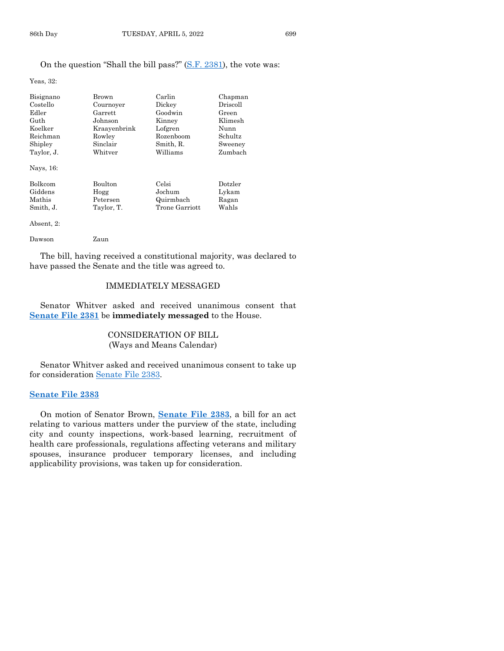#### On the question "Shall the bill pass?" [\(S.F. 2381\)](https://www.legis.iowa.gov/legislation/BillBook?ga=89&ba=SF2381), the vote was:

Yeas, 32:

| Bisignano  | Brown          | Carlin         | Chapman  |
|------------|----------------|----------------|----------|
| Costello   | Cournover      | Dickey         | Driscoll |
| Edler      | Garrett        | Goodwin        | Green    |
| Guth       | Johnson        | Kinney         | Klimesh  |
| Koelker    | Kraayenbrink   | Lofgren        | Nunn     |
| Reichman   | Rowley         | Rozenboom      | Schultz  |
| Shipley    | Sinclair       | Smith, R.      | Sweeney  |
| Taylor, J. | Whitver        | Williams       | Zumbach  |
| Nays, 16:  |                |                |          |
| Bolkcom    | <b>Boulton</b> | Celsi          | Dotzler  |
| Giddens    | Hogg           | Jochum         | Lykam    |
| Mathis     | Petersen       | Quirmbach      | Ragan    |
| Smith, J.  | Taylor, T.     | Trone Garriott | Wahls    |
| Absent. 2: |                |                |          |

Dawson Zaun

The bill, having received a constitutional majority, was declared to have passed the Senate and the title was agreed to.

#### IMMEDIATELY MESSAGED

Senator Whitver asked and received unanimous consent that **[Senate File 2381](https://www.legis.iowa.gov/legislation/BillBook?ga=89&ba=SF2381)** be **immediately messaged** to the House.

# CONSIDERATION OF BILL (Ways and Means Calendar)

Senator Whitver asked and received unanimous consent to take up for consideration [Senate File 2383.](https://www.legis.iowa.gov/legislation/BillBook?ga=89&ba=SF2383)

# **[Senate File 2383](https://www.legis.iowa.gov/legislation/BillBook?ga=89&ba=SF2383)**

On motion of Senator Brown, **[Senate File 2383](https://www.legis.iowa.gov/legislation/BillBook?ga=89&ba=SF2383)**, a bill for an act relating to various matters under the purview of the state, including city and county inspections, work-based learning, recruitment of health care professionals, regulations affecting veterans and military spouses, insurance producer temporary licenses, and including applicability provisions, was taken up for consideration.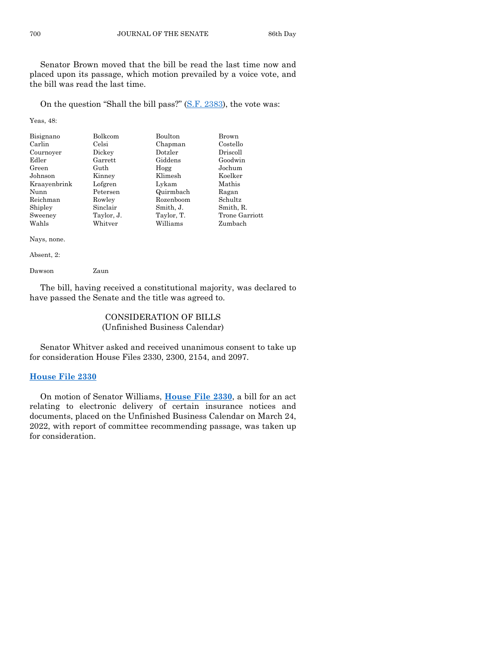Senator Brown moved that the bill be read the last time now and placed upon its passage, which motion prevailed by a voice vote, and the bill was read the last time.

On the question "Shall the bill pass?" [\(S.F. 2383\)](https://www.legis.iowa.gov/legislation/BillBook?ga=89&ba=SF2383), the vote was:

Yeas, 48:

| Bisignano    | Bolkcom        | <b>Boulton</b> | Brown          |
|--------------|----------------|----------------|----------------|
| Carlin       | Celsi          | Chapman        | Costello       |
| Cournoyer    | Dickey         | Dotzler        | Driscoll       |
| Edler        | $\rm{Garrett}$ | Giddens        | Goodwin        |
| Green        | Guth           | Hogg           | Jochum         |
| Johnson      | Kinney         | Klimesh        | Koelker        |
| Kraayenbrink | Lofgren        | Lykam          | Mathis         |
| Nunn         | Petersen       | Quirmbach      | Ragan          |
| Reichman     | Rowley         | Rozenboom      | Schultz        |
| Shipley      | Sinclair       | Smith, J.      | Smith, R.      |
| Sweeney      | Taylor, J.     | Taylor, T.     | Trone Garriott |
| Wahls        | Whitver        | Williams       | Zumbach        |
|              |                |                |                |

Nays, none.

Absent, 2:

Dawson Zaun

The bill, having received a constitutional majority, was declared to have passed the Senate and the title was agreed to.

# CONSIDERATION OF BILLS (Unfinished Business Calendar)

Senator Whitver asked and received unanimous consent to take up for consideration House Files 2330, 2300, 2154, and 2097.

#### **[House File 2330](https://www.legis.iowa.gov/legislation/BillBook?ga=89&ba=HF2330)**

On motion of Senator Williams, **[House File 2330](https://www.legis.iowa.gov/legislation/BillBook?ga=89&ba=HF2330)**, a bill for an act relating to electronic delivery of certain insurance notices and documents, placed on the Unfinished Business Calendar on March 24, 2022, with report of committee recommending passage, was taken up for consideration.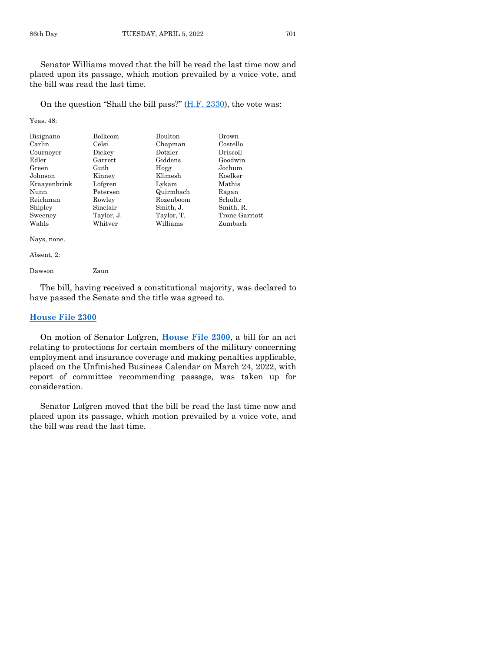Senator Williams moved that the bill be read the last time now and placed upon its passage, which motion prevailed by a voice vote, and the bill was read the last time.

On the question "Shall the bill pass?" [\(H.F. 2330\)](https://www.legis.iowa.gov/legislation/BillBook?ga=89&ba=HF2330), the vote was:

Yeas, 48:

| Bisignano<br>Carlin<br>Cournoyer | Bolkcom<br>Celsi<br>Dickey | Boulton<br>Chapman<br>Dotzler | Brown<br>Costello<br>Driscoll |
|----------------------------------|----------------------------|-------------------------------|-------------------------------|
| Edler                            | Garrett                    | Giddens                       | Goodwin                       |
| Green                            | Guth                       | Hogg                          | Jochum                        |
| Johnson                          | Kinney                     | Klimesh                       | Koelker                       |
| Kraayenbrink                     | Lofgren                    | Lykam                         | Mathis                        |
| Nunn                             | Petersen                   | Quirmbach                     | Ragan                         |
| Reichman                         | Rowley                     | Rozenboom                     | Schultz                       |
| Shipley                          | Sinclair                   | Smith, J.                     | Smith, R.                     |
| Sweeney                          | Taylor, J.                 | Taylor, T.                    | Trone Garriott                |
| Wahls                            | Whitver                    | Williams                      | Zumbach                       |

Nays, none.

Absent, 2:

Dawson Zaun

The bill, having received a constitutional majority, was declared to have passed the Senate and the title was agreed to.

#### **[House File 2300](https://www.legis.iowa.gov/legislation/BillBook?ga=89&ba=HF2300)**

On motion of Senator Lofgren, **[House File 2300](https://www.legis.iowa.gov/legislation/BillBook?ga=89&ba=HF2300)**, a bill for an act relating to protections for certain members of the military concerning employment and insurance coverage and making penalties applicable, placed on the Unfinished Business Calendar on March 24, 2022, with report of committee recommending passage, was taken up for consideration.

Senator Lofgren moved that the bill be read the last time now and placed upon its passage, which motion prevailed by a voice vote, and the bill was read the last time.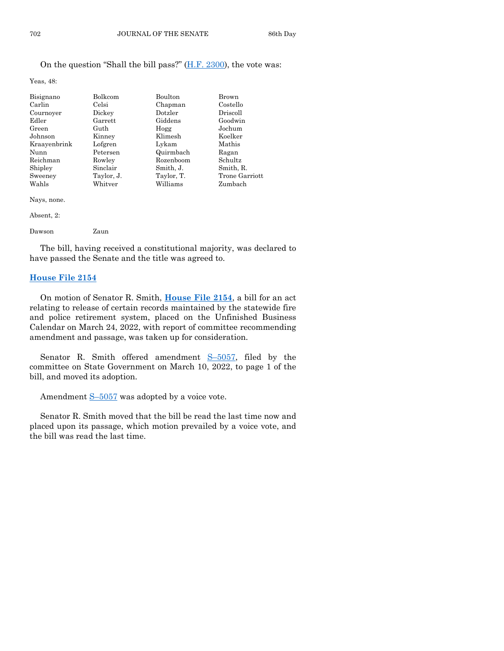#### On the question "Shall the bill pass?" [\(H.F. 2300\)](https://www.legis.iowa.gov/legislation/BillBook?ga=89&ba=HF2300), the vote was:

Yeas, 48:

| Bisignano    | Bolkcom    | Boulton    | Brown          |
|--------------|------------|------------|----------------|
| Carlin       | Celsi      | Chapman    | Costello       |
| Cournoyer    | Dickey     | Dotzler    | Driscoll       |
| Edler        | Garrett    | Giddens    | Goodwin        |
| Green        | Guth       | Hogg       | Jochum         |
| Johnson      | Kinney     | Klimesh    | Koelker        |
| Kraayenbrink | Lofgren    | Lykam      | Mathis         |
| Nunn         | Petersen   | Quirmbach  | Ragan          |
| Reichman     | Rowley     | Rozenboom  | Schultz        |
| Shipley      | Sinclair   | Smith, J.  | Smith, R.      |
| Sweeney      | Taylor, J. | Taylor, T. | Trone Garriott |
| Wahls        | Whitver    | Williams   | Zumbach        |

Nays, none.

#### Absent, 2:

| Dawson | Zaun |
|--------|------|
|        |      |

The bill, having received a constitutional majority, was declared to have passed the Senate and the title was agreed to.

#### **[House File 2154](https://www.legis.iowa.gov/legislation/BillBook?ga=89&ba=HF2154)**

On motion of Senator R. Smith, **[House File 2154](https://www.legis.iowa.gov/legislation/BillBook?ga=89&ba=HF2154)**, a bill for an act relating to release of certain records maintained by the statewide fire and police retirement system, placed on the Unfinished Business Calendar on March 24, 2022, with report of committee recommending amendment and passage, was taken up for consideration.

Senator R. Smith offered amendment S–[5057,](https://www.legis.iowa.gov/legislation/BillBook?ga=89&ba=S5057) filed by the committee on State Government on March 10, 2022, to page 1 of the bill, and moved its adoption.

Amendment  $S-5057$  $S-5057$  was adopted by a voice vote.

Senator R. Smith moved that the bill be read the last time now and placed upon its passage, which motion prevailed by a voice vote, and the bill was read the last time.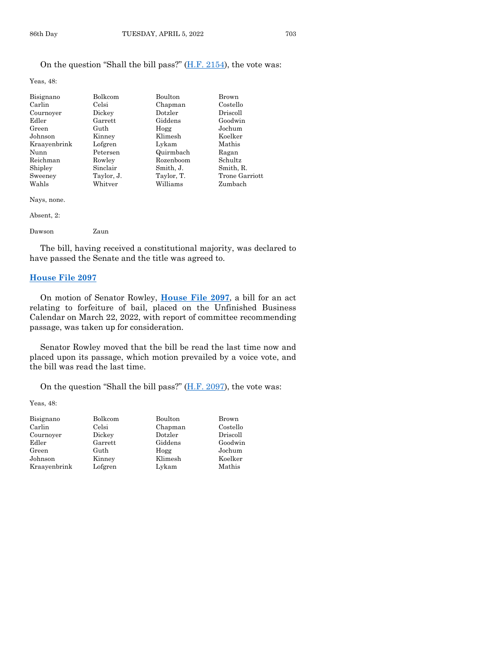#### On the question "Shall the bill pass?" [\(H.F. 2154\)](https://www.legis.iowa.gov/legislation/BillBook?ga=89&ba=HF2154), the vote was:

Yeas, 48:

| Bisignano<br>Carlin | Bolkcom<br>Celsi | Boulton<br>Chapman | Brown<br>Costello |
|---------------------|------------------|--------------------|-------------------|
| Cournoyer           | Dickey           | Dotzler            | Driscoll          |
| Edler               | Garrett          | Giddens            | Goodwin           |
| Green               | Guth             | Hogg               | Jochum            |
| Johnson             | Kinney           | Klimesh            | Koelker           |
| Kraayenbrink        | Lofgren          | Lykam              | Mathis            |
| Nunn                | Petersen         | Quirmbach          | Ragan             |
| Reichman            | Rowley           | Rozenboom          | Schultz           |
| Shipley             | Sinclair         | Smith, J.          | Smith, R.         |
| Sweeney             | Taylor, J.       | Taylor, T.         | Trone Garriott    |
| Wahls               | Whitver          | Williams           | Zumbach           |

Nays, none.

#### Absent, 2:

| Dawson | Zaun |
|--------|------|
|        |      |

The bill, having received a constitutional majority, was declared to have passed the Senate and the title was agreed to.

#### **[House File 2097](https://www.legis.iowa.gov/legislation/BillBook?ga=89&ba=HF2097)**

On motion of Senator Rowley, **[House File 2097](https://www.legis.iowa.gov/legislation/BillBook?ga=89&ba=HF2097)**, a bill for an act relating to forfeiture of bail, placed on the Unfinished Business Calendar on March 22, 2022, with report of committee recommending passage, was taken up for consideration.

Senator Rowley moved that the bill be read the last time now and placed upon its passage, which motion prevailed by a voice vote, and the bill was read the last time.

On the question "Shall the bill pass?" [\(H.F. 2097\)](https://www.legis.iowa.gov/legislation/BillBook?ga=89&ba=HF2097), the vote was:

Yeas, 48:

| Bisignano    | Bolkcom | Boulton | Brown    |
|--------------|---------|---------|----------|
| Carlin       | Celsi   | Chapman | Costello |
| Cournoyer    | Dickey  | Dotzler | Driscoll |
| Edler        | Garrett | Giddens | Goodwin  |
| Green        | Guth    | Hogg    | Jochum   |
| Johnson      | Kinney  | Klimesh | Koelker  |
| Kraayenbrink | Lofgren | Lykam   | Mathis   |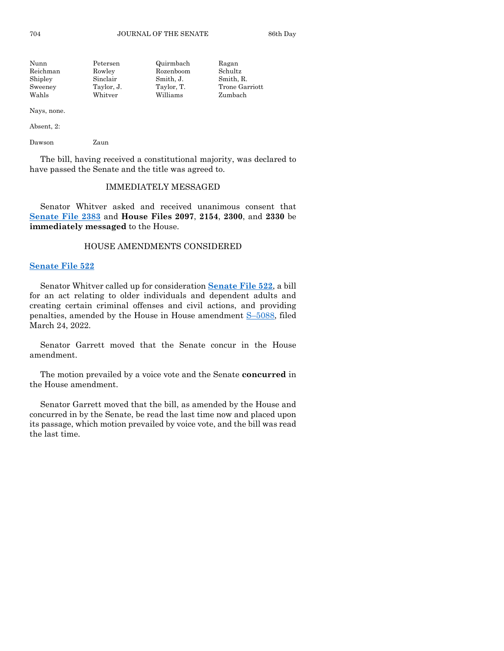| Nunn     | Petersen   | Quirmbach  | Ragan          |
|----------|------------|------------|----------------|
| Reichman | Rowley     | Rozenboom  | Schultz        |
| Shipley  | Sinclair   | Smith, J.  | Smith, R.      |
| Sweeney  | Taylor, J. | Taylor, T. | Trone Garriott |
| Wahls    | Whitver    | Williams   | Zumbach        |
|          |            |            |                |

Nays, none.

Absent, 2:

Dawson Zaun

The bill, having received a constitutional majority, was declared to have passed the Senate and the title was agreed to.

#### IMMEDIATELY MESSAGED

Senator Whitver asked and received unanimous consent that **[Senate File 2383](https://www.legis.iowa.gov/legislation/BillBook?ga=89&ba=SF2383)** and **House Files 2097**, **2154**, **2300**, and **2330** be **immediately messaged** to the House.

#### HOUSE AMENDMENTS CONSIDERED

#### **[Senate File 522](https://www.legis.iowa.gov/legislation/BillBook?ga=89&ba=SF522)**

Senator Whitver called up for consideration **[Senate File 522](https://www.legis.iowa.gov/legislation/BillBook?ga=89&ba=SF522)**, a bill for an act relating to older individuals and dependent adults and creating certain criminal offenses and civil actions, and providing penalties, amended by the House in House amendment S–[5088,](https://www.legis.iowa.gov/legislation/BillBook?ga=89&ba=S5088) filed March 24, 2022.

Senator Garrett moved that the Senate concur in the House amendment.

The motion prevailed by a voice vote and the Senate **concurred** in the House amendment.

Senator Garrett moved that the bill, as amended by the House and concurred in by the Senate, be read the last time now and placed upon its passage, which motion prevailed by voice vote, and the bill was read the last time.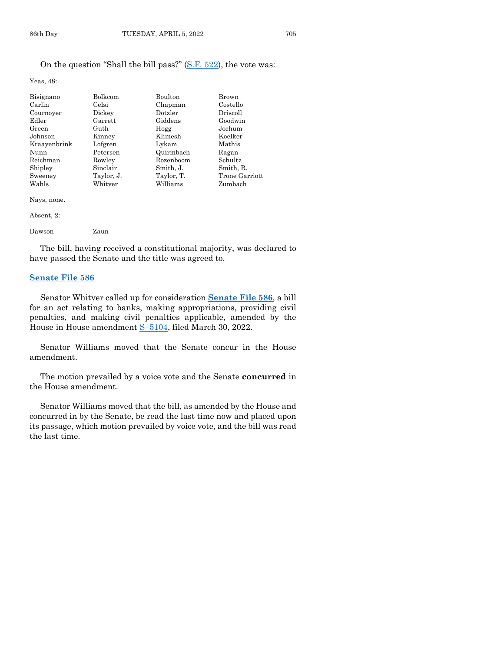#### On the question "Shall the bill pass?" [\(S.F. 522\)](https://www.legis.iowa.gov/legislation/BillBook?ga=89&ba=SF522), the vote was:

Yeas, 48:

| Bisignano    | Bolkcom    | Boulton    | Brown          |
|--------------|------------|------------|----------------|
| Carlin       | Celsi      | Chapman    | Costello       |
| Cournoyer    | Dickey     | Dotzler    | Driscoll       |
| Edler        | Garrett    | Giddens    | Goodwin        |
| Green        | Guth       | Hogg       | Jochum         |
| Johnson      | Kinney     | Klimesh    | Koelker        |
| Kraayenbrink | Lofgren    | Lykam      | Mathis         |
| Nunn         | Petersen   | Quirmbach  | Ragan          |
| Reichman     | Rowley     | Rozenboom  | <b>Schultz</b> |
| Shipley      | Sinclair   | Smith, J.  | Smith, R.      |
| Sweeney      | Taylor, J. | Taylor, T. | Trone Garriott |
| Wahls        | Whitver    | Williams   | Zumbach        |

Nays, none.

| Dawson | Zaun |
|--------|------|
|        |      |

The bill, having received a constitutional majority, was declared to have passed the Senate and the title was agreed to.

#### **[Senate File 586](https://www.legis.iowa.gov/legislation/BillBook?ga=89&ba=SF586)**

Senator Whitver called up for consideration **[Senate File 586](https://www.legis.iowa.gov/legislation/BillBook?ga=89&ba=SF586)**, a bill for an act relating to banks, making appropriations, providing civil penalties, and making civil penalties applicable, amended by the House in House amendment  $S-5104$ , filed March 30, 2022.

Senator Williams moved that the Senate concur in the House amendment.

The motion prevailed by a voice vote and the Senate **concurred** in the House amendment.

Senator Williams moved that the bill, as amended by the House and concurred in by the Senate, be read the last time now and placed upon its passage, which motion prevailed by voice vote, and the bill was read the last time.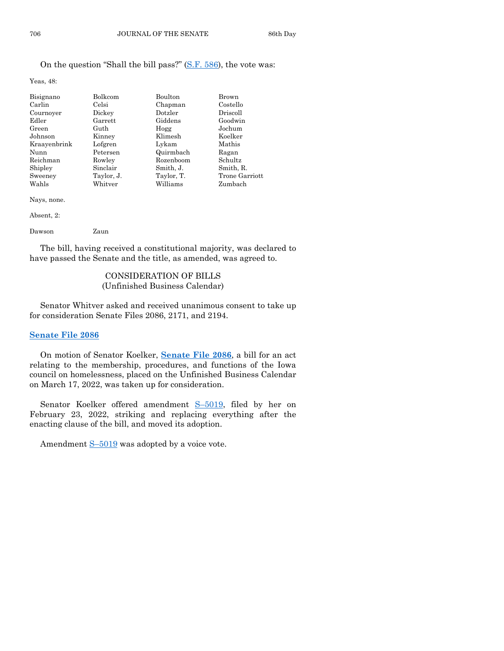# On the question "Shall the bill pass?" [\(S.F. 586\)](https://www.legis.iowa.gov/legislation/BillBook?ga=89&ba=SF586), the vote was:

Yeas, 48:

| Bisignano<br>Carlin | Bolkcom<br>Celsi | Boulton<br>Chapman | Brown<br>Costello |
|---------------------|------------------|--------------------|-------------------|
| Cournoyer           | Dickey           | Dotzler            | Driscoll          |
| Edler               | Garrett          | Giddens            | Goodwin           |
| Green               | Guth             | Hogg               | Jochum            |
| Johnson             | Kinney           | Klimesh            | Koelker           |
| Kraayenbrink        | Lofgren          | Lykam              | Mathis            |
| Nunn                | Petersen         | Quirmbach          | Ragan             |
| Reichman            | Rowley           | Rozenboom          | Schultz           |
| Shipley             | Sinclair         | Smith, J.          | Smith, R.         |
| Sweeney             | Taylor, J.       | Taylor, T.         | Trone Garriott    |
| Wahls               | Whitver          | Williams           | Zumbach           |

Nays, none.

Absent, 2:

| Dawson | Zaun |
|--------|------|
|        |      |

The bill, having received a constitutional majority, was declared to have passed the Senate and the title, as amended, was agreed to.

# CONSIDERATION OF BILLS (Unfinished Business Calendar)

Senator Whitver asked and received unanimous consent to take up for consideration Senate Files 2086, 2171, and 2194.

# **[Senate File 2086](https://www.legis.iowa.gov/legislation/BillBook?ga=89&ba=SF2086)**

On motion of Senator Koelker, **[Senate File 2086](https://www.legis.iowa.gov/legislation/BillBook?ga=89&ba=SF2086)**, a bill for an act relating to the membership, procedures, and functions of the Iowa council on homelessness, placed on the Unfinished Business Calendar on March 17, 2022, was taken up for consideration.

Senator Koelker offered amendment S-[5019,](https://www.legis.iowa.gov/legislation/BillBook?ga=89&ba=S5019) filed by her on February 23, 2022, striking and replacing everything after the enacting clause of the bill, and moved its adoption.

Amendment  $S-5019$  $S-5019$  was adopted by a voice vote.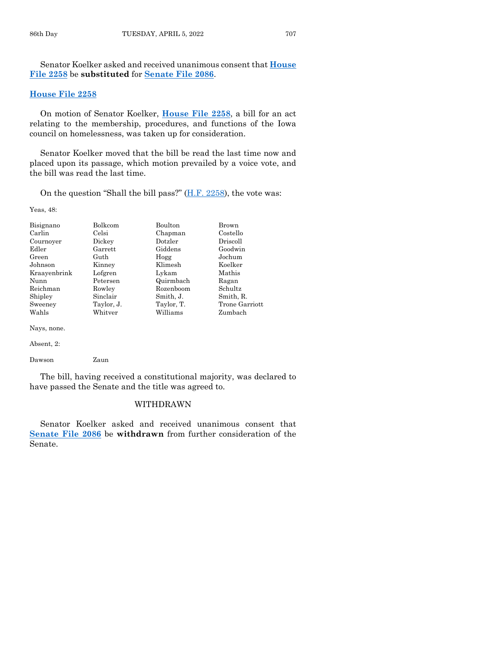Senator Koelker asked and received unanimous consent that **[House](https://www.legis.iowa.gov/legislation/BillBook?ga=89&ba=HF2258)  [File 2258](https://www.legis.iowa.gov/legislation/BillBook?ga=89&ba=HF2258)** be **substituted** for **[Senate File 2086](https://www.legis.iowa.gov/legislation/BillBook?ga=89&ba=SF2086)**.

#### **[House File 2258](https://www.legis.iowa.gov/legislation/BillBook?ga=89&ba=HF2258)**

On motion of Senator Koelker, **[House File 2258](https://www.legis.iowa.gov/legislation/BillBook?ga=89&ba=HF2258)**, a bill for an act relating to the membership, procedures, and functions of the Iowa council on homelessness, was taken up for consideration.

Senator Koelker moved that the bill be read the last time now and placed upon its passage, which motion prevailed by a voice vote, and the bill was read the last time.

On the question "Shall the bill pass?"  $(H.F. 2258)$ , the vote was:

Yeas, 48:

| Bisignano    | <b>Bolkcom</b> | <b>Boulton</b> | <b>Brown</b>   |
|--------------|----------------|----------------|----------------|
| Carlin       | Celsi          | Chapman        | Costello       |
| Cournoyer    | Dickey         | Dotzler        | Driscoll       |
| Edler        | Garrett        | Giddens        | Goodwin        |
| Green        | Guth           | Hogg           | Jochum         |
| Johnson      | Kinney         | Klimesh        | Koelker        |
| Kraayenbrink | Lofgren        | Lykam          | Mathis         |
| Nunn         | Petersen       | Quirmbach      | Ragan          |
| Reichman     | Rowley         | Rozenboom      | Schultz        |
| Shipley      | Sinclair       | Smith, J.      | Smith, R.      |
| Sweeney      | Taylor, J.     | Taylor, T.     | Trone Garriott |
| Wahls        | Whitver        | Williams       | Zumbach        |
|              |                |                |                |

Nays, none.

Absent, 2:

Dawson Zaun

The bill, having received a constitutional majority, was declared to have passed the Senate and the title was agreed to.

#### WITHDRAWN

Senator Koelker asked and received unanimous consent that **[Senate File 2086](https://www.legis.iowa.gov/legislation/BillBook?ga=89&ba=SF2086)** be **withdrawn** from further consideration of the Senate.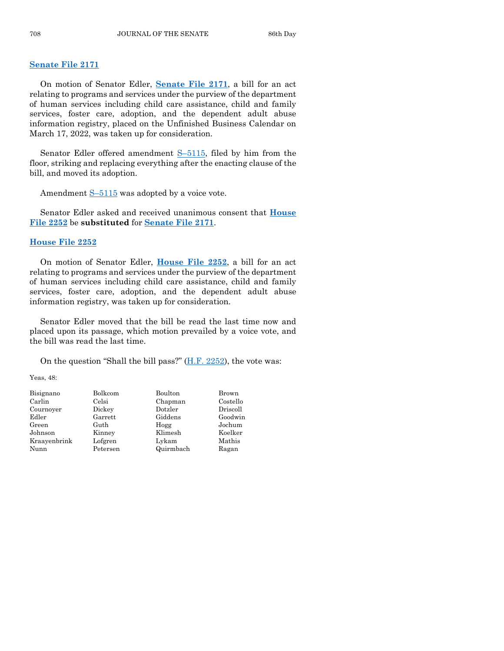#### **[Senate File 2171](https://www.legis.iowa.gov/legislation/BillBook?ga=89&ba=SF2171)**

On motion of Senator Edler, **[Senate File 2171](https://www.legis.iowa.gov/legislation/BillBook?ga=89&ba=SF2171)**, a bill for an act relating to programs and services under the purview of the department of human services including child care assistance, child and family services, foster care, adoption, and the dependent adult abuse information registry, placed on the Unfinished Business Calendar on March 17, 2022, was taken up for consideration.

Senator Edler offered amendment  $S-5115$ , filed by him from the floor, striking and replacing everything after the enacting clause of the bill, and moved its adoption.

Amendment  $S-5115$  $S-5115$  was adopted by a voice vote.

Senator Edler asked and received unanimous consent that **[House](https://www.legis.iowa.gov/legislation/BillBook?ga=89&ba=HF2252)  [File 2252](https://www.legis.iowa.gov/legislation/BillBook?ga=89&ba=HF2252)** be **substituted** for **[Senate File 2171](https://www.legis.iowa.gov/legislation/BillBook?ga=89&ba=SF2171)**.

#### **House [File 2252](https://www.legis.iowa.gov/legislation/BillBook?ga=89&ba=HF2252)**

On motion of Senator Edler, **[House File 2252](https://www.legis.iowa.gov/legislation/BillBook?ga=89&ba=HF2252)**, a bill for an act relating to programs and services under the purview of the department of human services including child care assistance, child and family services, foster care, adoption, and the dependent adult abuse information registry, was taken up for consideration.

Senator Edler moved that the bill be read the last time now and placed upon its passage, which motion prevailed by a voice vote, and the bill was read the last time.

On the question "Shall the bill pass?"  $(H.F. 2252)$ , the vote was:

Yeas, 48:

| Bisignano    | Bolkcom  | Boulton   | Brown    |
|--------------|----------|-----------|----------|
| Carlin       | Celsi    | Chapman   | Costello |
| Cournoyer    | Dickey   | Dotzler   | Driscoll |
| Edler        | Garrett  | Giddens   | Goodwin  |
| Green        | Guth     | Hogg      | Jochum   |
| Johnson      | Kinney   | Klimesh   | Koelker  |
| Kraayenbrink | Lofgren  | Lykam     | Mathis   |
| Nunn         | Petersen | Quirmbach | Ragan    |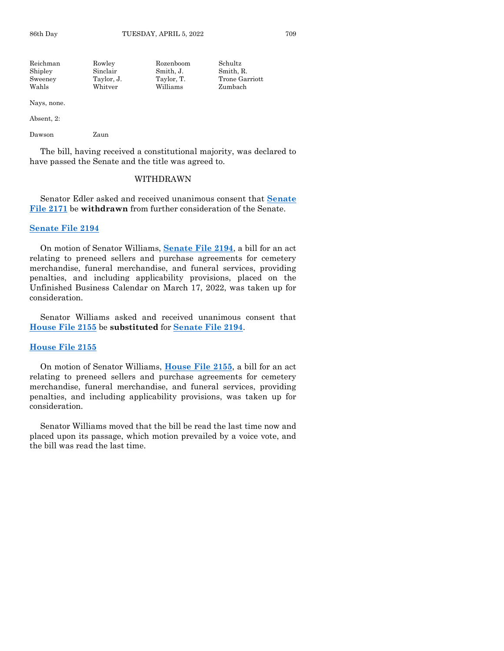| Rowley     | Rozenboom  | Schultz        |
|------------|------------|----------------|
| Sinclair   | Smith. J.  | Smith, R.      |
| Taylor, J. | Taylor, T. | Trone Garriott |
| Whitver    | Williams   | Zumbach        |
|            |            |                |

Nays, none.

Absent, 2:

Dawson Zaun

The bill, having received a constitutional majority, was declared to have passed the Senate and the title was agreed to.

#### WITHDRAWN

Senator Edler asked and received unanimous consent that **[Senate](https://www.legis.iowa.gov/legislation/BillBook?ga=89&ba=SF2171)  [File 2171](https://www.legis.iowa.gov/legislation/BillBook?ga=89&ba=SF2171)** be **withdrawn** from further consideration of the Senate.

#### **[Senate File 2194](https://www.legis.iowa.gov/legislation/BillBook?ga=89&ba=SF2194)**

On motion of Senator Williams, **[Senate File 2194](https://www.legis.iowa.gov/legislation/BillBook?ga=89&ba=SF2194)**, a bill for an act relating to preneed sellers and purchase agreements for cemetery merchandise, funeral merchandise, and funeral services, providing penalties, and including applicability provisions, placed on the Unfinished Business Calendar on March 17, 2022, was taken up for consideration.

Senator Williams asked and received unanimous consent that **[House File 2155](https://www.legis.iowa.gov/legislation/BillBook?ga=89&ba=HF2155)** be **substituted** for **[Senate File 2194](https://www.legis.iowa.gov/legislation/BillBook?ga=89&ba=SF2194)**.

#### **[House File 2155](https://www.legis.iowa.gov/legislation/BillBook?ga=89&ba=HF2155)**

On motion of Senator Williams, **[House File 2155](https://www.legis.iowa.gov/legislation/BillBook?ga=89&ba=HF2155)**, a bill for an act relating to preneed sellers and purchase agreements for cemetery merchandise, funeral merchandise, and funeral services, providing penalties, and including applicability provisions, was taken up for consideration.

Senator Williams moved that the bill be read the last time now and placed upon its passage, which motion prevailed by a voice vote, and the bill was read the last time.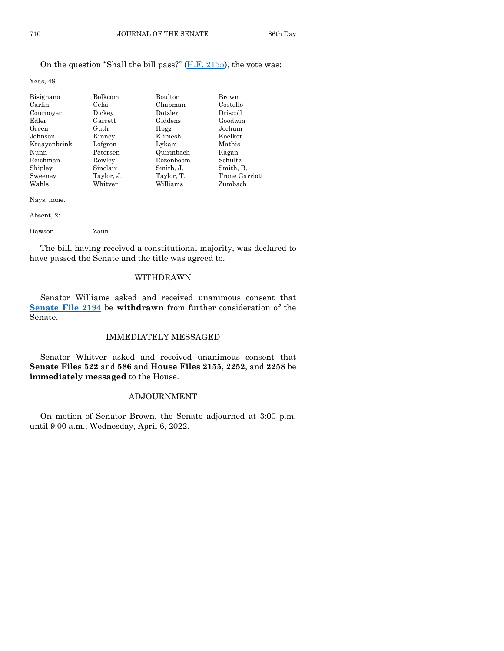# On the question "Shall the bill pass?" [\(H.F. 2155\)](https://www.legis.iowa.gov/legislation/BillBook?ga=89&ba=HF2155), the vote was:

Yeas, 48:

| Bisignano    | Bolkcom    | Boulton    | Brown          |
|--------------|------------|------------|----------------|
| Carlin       | Celsi      | Chapman    | Costello       |
| Cournoyer    | Dickey     | Dotzler    | Driscoll       |
| Edler        | Garrett    | Giddens    | Goodwin        |
| Green        | Guth       | Hogg       | Jochum         |
| Johnson      | Kinney     | Klimesh    | Koelker        |
| Kraavenbrink | Lofgren    | Lykam      | Mathis         |
| Nunn         | Petersen   | Quirmbach  | Ragan          |
| Reichman     | Rowley     | Rozenboom  | Schultz        |
| Shipley      | Sinclair   | Smith, J.  | Smith, R.      |
| Sweeney      | Taylor, J. | Taylor, T. | Trone Garriott |
| Wahls        | Whitver    | Williams   | Zumbach        |

Nays, none.

Absent, 2:

Dawson Zaun

The bill, having received a constitutional majority, was declared to have passed the Senate and the title was agreed to.

#### WITHDRAWN

Senator Williams asked and received unanimous consent that **[Senate File 2194](https://www.legis.iowa.gov/legislation/BillBook?ga=89&ba=SF2194)** be **withdrawn** from further consideration of the Senate.

#### IMMEDIATELY MESSAGED

Senator Whitver asked and received unanimous consent that **Senate Files 522** and **586** and **House Files 2155**, **2252**, and **2258** be **immediately messaged** to the House.

#### ADJOURNMENT

On motion of Senator Brown, the Senate adjourned at 3:00 p.m. until 9:00 a.m., Wednesday, April 6, 2022.